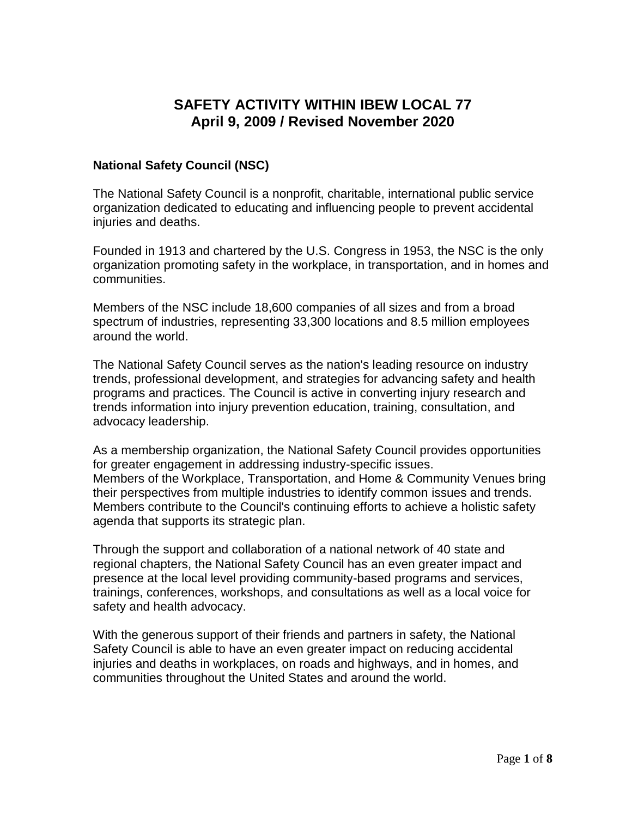# **SAFETY ACTIVITY WITHIN IBEW LOCAL 77 April 9, 2009 / Revised November 2020**

## **National Safety Council (NSC)**

The National Safety Council is a nonprofit, charitable, international public service organization dedicated to educating and influencing people to prevent accidental iniuries and deaths.

Founded in 1913 and chartered by the U.S. Congress in 1953, the NSC is the only organization promoting safety in the workplace, in transportation, and in homes and communities.

Members of the NSC include 18,600 companies of all sizes and from a broad spectrum of industries, representing 33,300 locations and 8.5 million employees around the world.

The National Safety Council serves as the nation's leading resource on industry trends, professional development, and strategies for advancing safety and health programs and practices. The Council is active in converting injury research and trends information into injury prevention education, training, consultation, and advocacy leadership.

As a membership organization, the National Safety Council provides opportunities for greater engagement in addressing industry-specific issues. Members of the Workplace, Transportation, and Home & Community Venues bring their perspectives from multiple industries to identify common issues and trends. Members contribute to the Council's continuing efforts to achieve a holistic safety agenda that supports its strategic plan.

Through the support and collaboration of a national network of 40 state and regional chapters, the National Safety Council has an even greater impact and presence at the local level providing community-based programs and services, trainings, conferences, workshops, and consultations as well as a local voice for safety and health advocacy.

With the generous support of their friends and partners in safety, the National Safety Council is able to have an even greater impact on reducing accidental injuries and deaths in workplaces, on roads and highways, and in homes, and communities throughout the United States and around the world.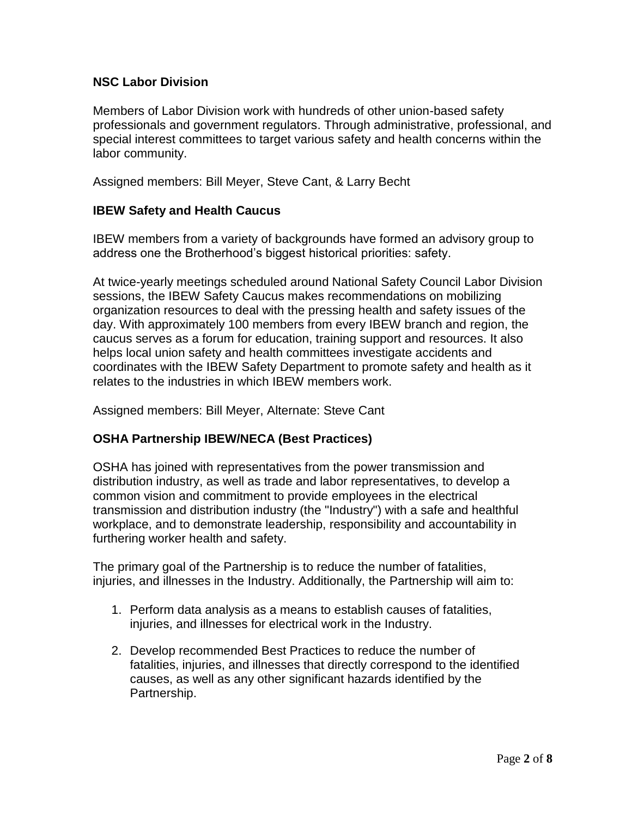## **NSC Labor Division**

Members of Labor Division work with hundreds of other union-based safety professionals and government regulators. Through administrative, professional, and special interest committees to target various safety and health concerns within the labor community.

Assigned members: Bill Meyer, Steve Cant, & Larry Becht

### **IBEW Safety and Health Caucus**

IBEW members from a variety of backgrounds have formed an advisory group to address one the Brotherhood's biggest historical priorities: safety.

At twice-yearly meetings scheduled around National Safety Council Labor Division sessions, the IBEW Safety Caucus makes recommendations on mobilizing organization resources to deal with the pressing health and safety issues of the day. With approximately 100 members from every IBEW branch and region, the caucus serves as a forum for education, training support and resources. It also helps local union safety and health committees investigate accidents and coordinates with the IBEW Safety Department to promote safety and health as it relates to the industries in which IBEW members work.

Assigned members: Bill Meyer, Alternate: Steve Cant

## **OSHA Partnership IBEW/NECA (Best Practices)**

OSHA has joined with representatives from the power transmission and distribution industry, as well as trade and labor representatives, to develop a common vision and commitment to provide employees in the electrical transmission and distribution industry (the "Industry") with a safe and healthful workplace, and to demonstrate leadership, responsibility and accountability in furthering worker health and safety.

The primary goal of the Partnership is to reduce the number of fatalities, injuries, and illnesses in the Industry. Additionally, the Partnership will aim to:

- 1. Perform data analysis as a means to establish causes of fatalities, injuries, and illnesses for electrical work in the Industry.
- 2. Develop recommended Best Practices to reduce the number of fatalities, injuries, and illnesses that directly correspond to the identified causes, as well as any other significant hazards identified by the Partnership.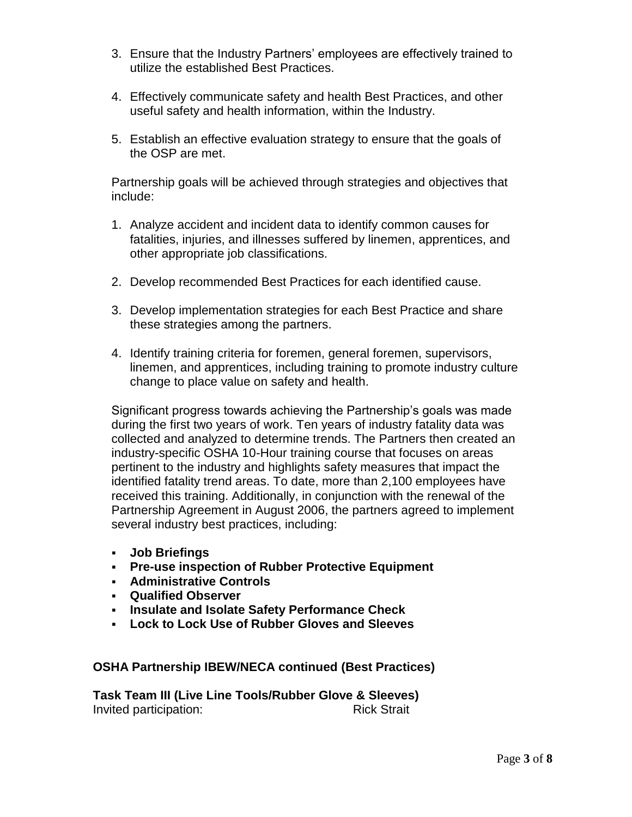- 3. Ensure that the Industry Partners' employees are effectively trained to utilize the established Best Practices.
- 4. Effectively communicate safety and health Best Practices, and other useful safety and health information, within the Industry.
- 5. Establish an effective evaluation strategy to ensure that the goals of the OSP are met.

Partnership goals will be achieved through strategies and objectives that include:

- 1. Analyze accident and incident data to identify common causes for fatalities, injuries, and illnesses suffered by linemen, apprentices, and other appropriate job classifications.
- 2. Develop recommended Best Practices for each identified cause.
- 3. Develop implementation strategies for each Best Practice and share these strategies among the partners.
- 4. Identify training criteria for foremen, general foremen, supervisors, linemen, and apprentices, including training to promote industry culture change to place value on safety and health.

Significant progress towards achieving the Partnership's goals was made during the first two years of work. Ten years of industry fatality data was collected and analyzed to determine trends. The Partners then created an industry-specific OSHA 10-Hour training course that focuses on areas pertinent to the industry and highlights safety measures that impact the identified fatality trend areas. To date, more than 2,100 employees have received this training. Additionally, in conjunction with the renewal of the Partnership Agreement in August 2006, the partners agreed to implement several industry best practices, including:

- **Job Briefings**
- **Pre-use inspection of Rubber Protective Equipment**
- **Administrative Controls**
- **Qualified Observer**
- **Insulate and Isolate Safety Performance Check**
- **Lock to Lock Use of Rubber Gloves and Sleeves**

**OSHA Partnership IBEW/NECA continued (Best Practices)**

**Task Team III (Live Line Tools/Rubber Glove & Sleeves) Invited participation:** Rick Strait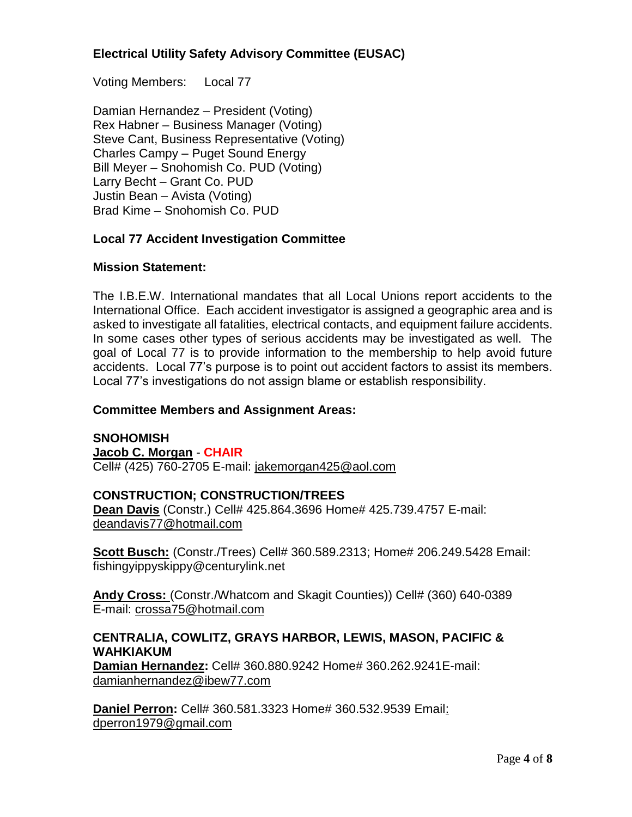## **Electrical Utility Safety Advisory Committee (EUSAC)**

Voting Members: Local 77

Damian Hernandez – President (Voting) Rex Habner – Business Manager (Voting) Steve Cant, Business Representative (Voting) Charles Campy – Puget Sound Energy Bill Meyer – Snohomish Co. PUD (Voting) Larry Becht – Grant Co. PUD Justin Bean – Avista (Voting) Brad Kime – Snohomish Co. PUD

#### **Local 77 Accident Investigation Committee**

#### **Mission Statement:**

The I.B.E.W. International mandates that all Local Unions report accidents to the International Office. Each accident investigator is assigned a geographic area and is asked to investigate all fatalities, electrical contacts, and equipment failure accidents. In some cases other types of serious accidents may be investigated as well. The goal of Local 77 is to provide information to the membership to help avoid future accidents. Local 77's purpose is to point out accident factors to assist its members. Local 77's investigations do not assign blame or establish responsibility.

#### **Committee Members and Assignment Areas:**

### **SNOHOMISH**

#### **Jacob C. Morgan** - **CHAIR**

Cell# (425) 760-2705 E-mail: jakemorgan425@aol.com

#### **CONSTRUCTION; CONSTRUCTION/TREES**

**Dean Davis** (Constr.) Cell# 425.864.3696 Home# 425.739.4757 E-mail: deandavis77@hotmail.com

**Scott Busch:** (Constr./Trees) Cell# 360.589.2313; Home# 206.249.5428 Email: fishingyippyskippy@centurylink.net

**Andy Cross:** (Constr./Whatcom and Skagit Counties)) Cell# (360) 640-0389 E-mail: crossa75@hotmail.com

#### **CENTRALIA, COWLITZ, GRAYS HARBOR, LEWIS, MASON, PACIFIC & WAHKIAKUM**

**Damian Hernandez:** Cell# 360.880.9242 Home# 360.262.9241E-mail: [damianhernandez@ibew77.com](mailto:damianhernandez@ibew77.com)

**Daniel Perron:** Cell# 360.581.3323 Home# 360.532.9539 Email: [dperron1979@gmail.com](mailto:dperron1979@gmail.com)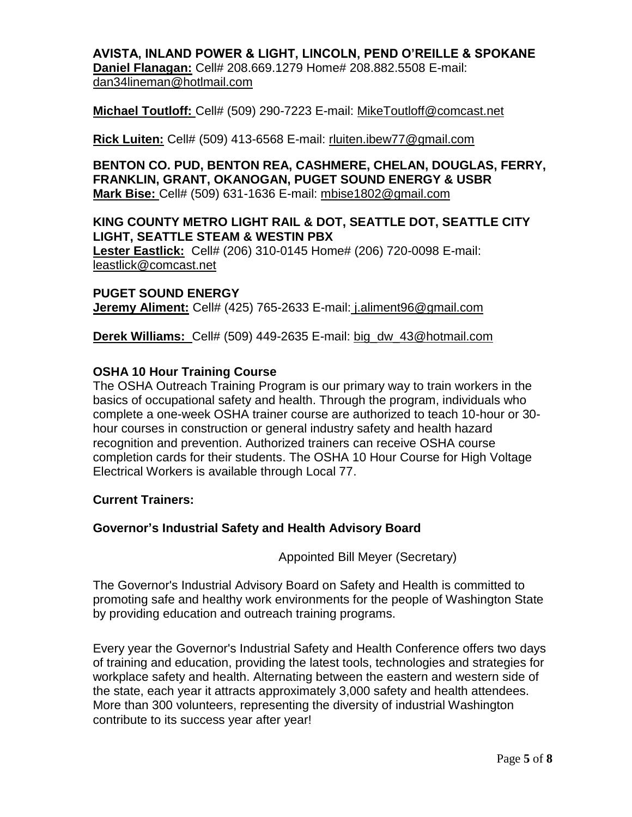### **AVISTA, INLAND POWER & LIGHT, LINCOLN, PEND O'REILLE & SPOKANE Daniel Flanagan:** Cell# 208.669.1279 Home# 208.882.5508 E-mail: [dan34lineman@hotlmail.com](mailto:dan34lineman@hotlmail.com)

#### **Michael Toutloff:** Cell# (509) 290-7223 E-mail: MikeToutloff@comcast.net

**Rick Luiten:** Cell# (509) 413-6568 E-mail: rluiten.ibew77@gmail.com

**BENTON CO. PUD, BENTON REA, CASHMERE, CHELAN, DOUGLAS, FERRY, FRANKLIN, GRANT, OKANOGAN, PUGET SOUND ENERGY & USBR Mark Bise:** Cell# (509) 631-1636 E-mail: mbise1802@gmail.com

### **KING COUNTY METRO LIGHT RAIL & DOT, SEATTLE DOT, SEATTLE CITY LIGHT, SEATTLE STEAM & WESTIN PBX**

**Lester Eastlick:** Cell# (206) 310-0145 Home# (206) 720-0098 E-mail: leastlick@comcast.net

**PUGET SOUND ENERGY Jeremy Aliment:** Cell# (425) 765-2633 E-mail: j.aliment96@gmail.com

**Derek Williams:** Cell# (509) 449-2635 E-mail: big\_dw\_43@hotmail.com

#### **OSHA 10 Hour Training Course**

The OSHA Outreach Training Program is our primary way to train workers in the basics of occupational safety and health. Through the program, individuals who complete a one-week OSHA trainer course are authorized to teach 10-hour or 30 hour courses in construction or general industry safety and health hazard recognition and prevention. Authorized trainers can receive OSHA course completion cards for their students. The OSHA 10 Hour Course for High Voltage Electrical Workers is available through Local 77.

#### **Current Trainers:**

### **Governor's Industrial Safety and Health Advisory Board**

Appointed Bill Meyer (Secretary)

The Governor's Industrial Advisory Board on Safety and Health is committed to promoting safe and healthy work environments for the people of Washington State by providing education and outreach training programs.

Every year the Governor's Industrial Safety and Health Conference offers two days of training and education, providing the latest tools, technologies and strategies for workplace safety and health. Alternating between the eastern and western side of the state, each year it attracts approximately 3,000 safety and health attendees. More than 300 volunteers, representing the diversity of industrial Washington contribute to its success year after year!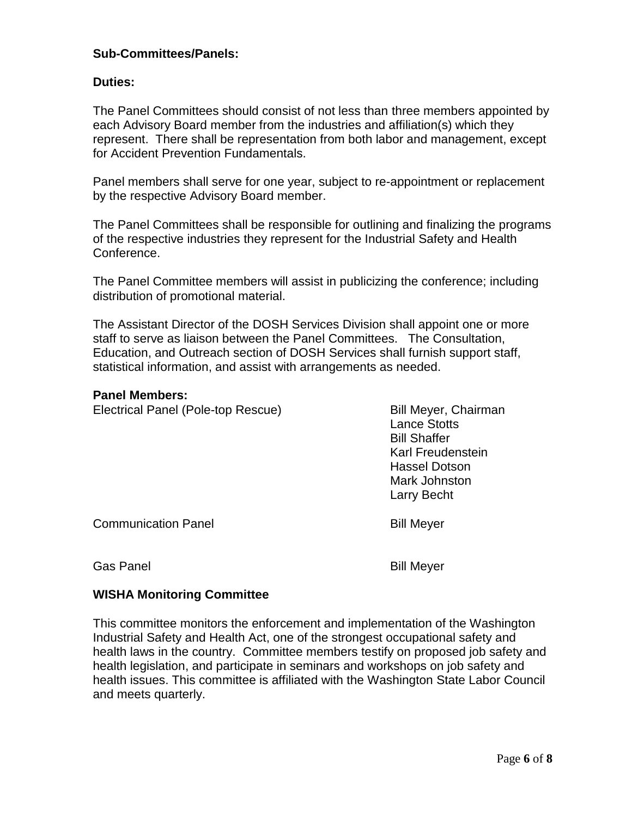### **Sub-Committees/Panels:**

## **Duties:**

The Panel Committees should consist of not less than three members appointed by each Advisory Board member from the industries and affiliation(s) which they represent. There shall be representation from both labor and management, except for Accident Prevention Fundamentals.

Panel members shall serve for one year, subject to re-appointment or replacement by the respective Advisory Board member.

The Panel Committees shall be responsible for outlining and finalizing the programs of the respective industries they represent for the Industrial Safety and Health Conference.

The Panel Committee members will assist in publicizing the conference; including distribution of promotional material.

The Assistant Director of the DOSH Services Division shall appoint one or more staff to serve as liaison between the Panel Committees. The Consultation, Education, and Outreach section of DOSH Services shall furnish support staff, statistical information, and assist with arrangements as needed.

#### **Panel Members:**

Electrical Panel (Pole-top Rescue) Bill Meyer, Chairman

Lance Stotts Bill Shaffer Karl Freudenstein Hassel Dotson Mark Johnston Larry Becht

Communication Panel **Bill Meyer** 

### Gas Panel **Bill Meyer**

## **WISHA Monitoring Committee**

This committee monitors the enforcement and implementation of the Washington Industrial Safety and Health Act, one of the strongest occupational safety and health laws in the country. Committee members testify on proposed job safety and health legislation, and participate in seminars and workshops on job safety and health issues. This committee is affiliated with the Washington State Labor Council and meets quarterly.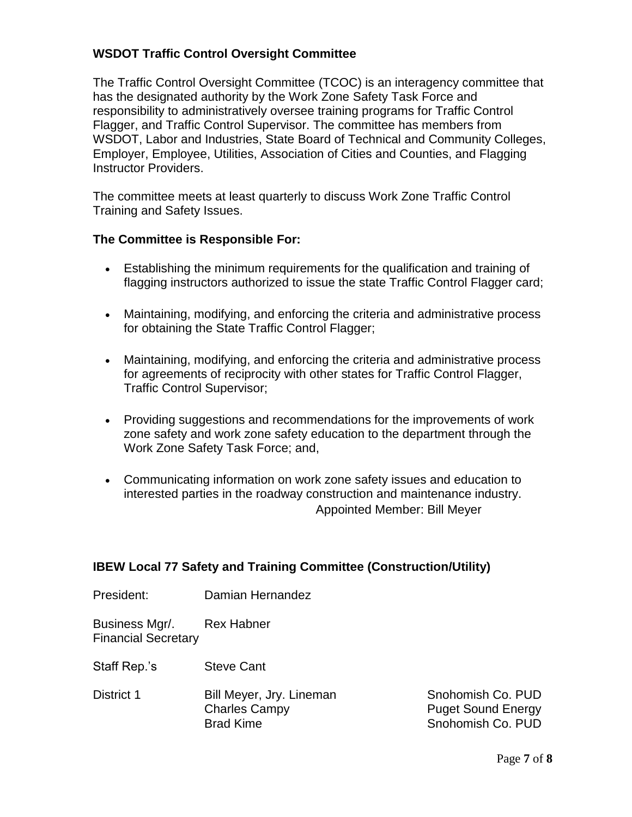## **WSDOT Traffic Control Oversight Committee**

The Traffic Control Oversight Committee (TCOC) is an interagency committee that has the designated authority by the Work Zone Safety Task Force and responsibility to administratively oversee training programs for Traffic Control Flagger, and Traffic Control Supervisor. The committee has members from WSDOT, Labor and Industries, State Board of Technical and Community Colleges, Employer, Employee, Utilities, Association of Cities and Counties, and Flagging Instructor Providers.

The committee meets at least quarterly to discuss Work Zone Traffic Control Training and Safety Issues.

#### **The Committee is Responsible For:**

- Establishing the minimum requirements for the qualification and training of flagging instructors authorized to issue the state Traffic Control Flagger card;
- Maintaining, modifying, and enforcing the criteria and administrative process for obtaining the State Traffic Control Flagger;
- Maintaining, modifying, and enforcing the criteria and administrative process for agreements of reciprocity with other states for Traffic Control Flagger, Traffic Control Supervisor;
- Providing suggestions and recommendations for the improvements of work zone safety and work zone safety education to the department through the Work Zone Safety Task Force; and,
- Communicating information on work zone safety issues and education to interested parties in the roadway construction and maintenance industry. Appointed Member: Bill Meyer

### **IBEW Local 77 Safety and Training Committee (Construction/Utility)**

President: Damian Hernandez

Business Mgr/. Rex Habner Financial Secretary

Staff Rep.'s Steve Cant

District 1 Bill Meyer, Jry. Lineman Snohomish Co. PUD Charles Campy **Puget Sound Energy** Brad Kime Snohomish Co. PUD